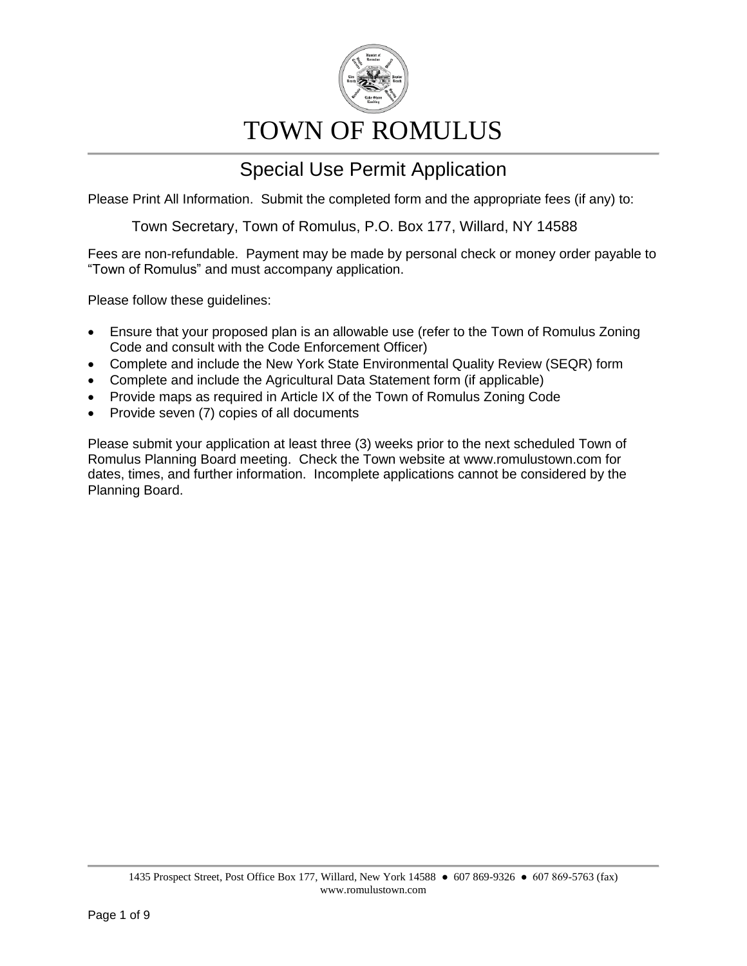

# TOWN OF ROMULUS

### Special Use Permit Application

Please Print All Information. Submit the completed form and the appropriate fees (if any) to:

Town Secretary, Town of Romulus, P.O. Box 177, Willard, NY 14588

Fees are non-refundable. Payment may be made by personal check or money order payable to "Town of Romulus" and must accompany application.

Please follow these guidelines:

- Ensure that your proposed plan is an allowable use (refer to the Town of Romulus Zoning Code and consult with the Code Enforcement Officer)
- Complete and include the New York State Environmental Quality Review (SEQR) form
- Complete and include the Agricultural Data Statement form (if applicable)
- Provide maps as required in Article IX of the Town of Romulus Zoning Code
- Provide seven (7) copies of all documents

Please submit your application at least three (3) weeks prior to the next scheduled Town of Romulus Planning Board meeting. Check the Town website at www.romulustown.com for dates, times, and further information. Incomplete applications cannot be considered by the Planning Board.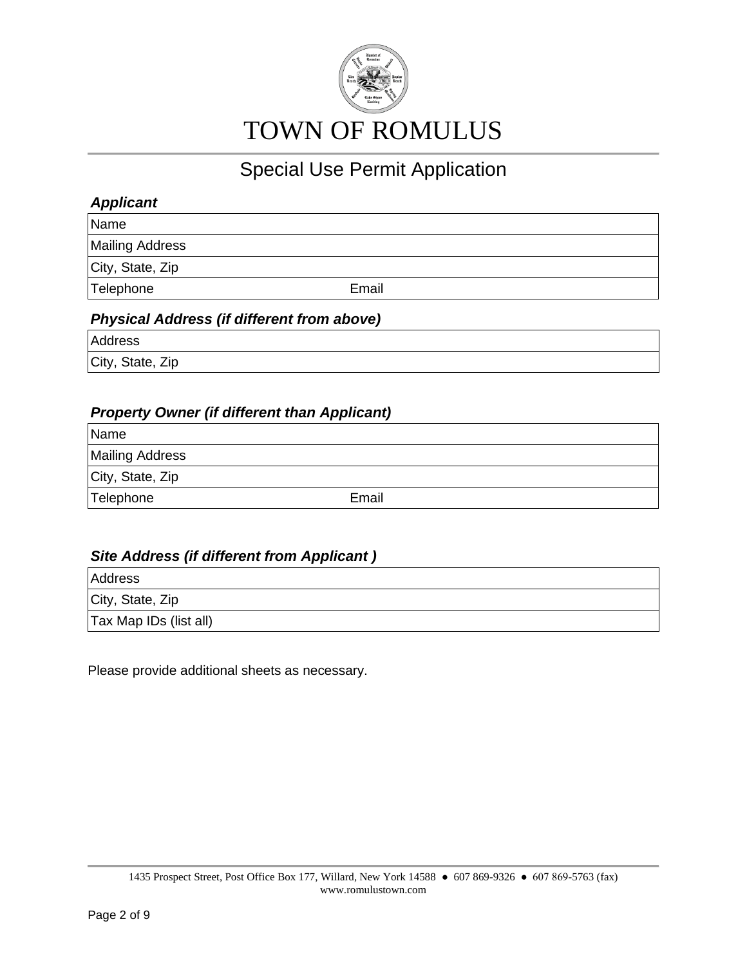

#### *Applicant*

Name

Mailing Address

City, State, Zip

Telephone **Email** 

#### *Physical Address (if different from above)*

Address

City, State, Zip

#### *Property Owner (if different than Applicant)*

| Name                   |       |
|------------------------|-------|
| <b>Mailing Address</b> |       |
| City, State, Zip       |       |
| Telephone              | Email |

#### *Site Address (if different from Applicant )*

Address City, State, Zip Tax Map IDs (list all)

Please provide additional sheets as necessary.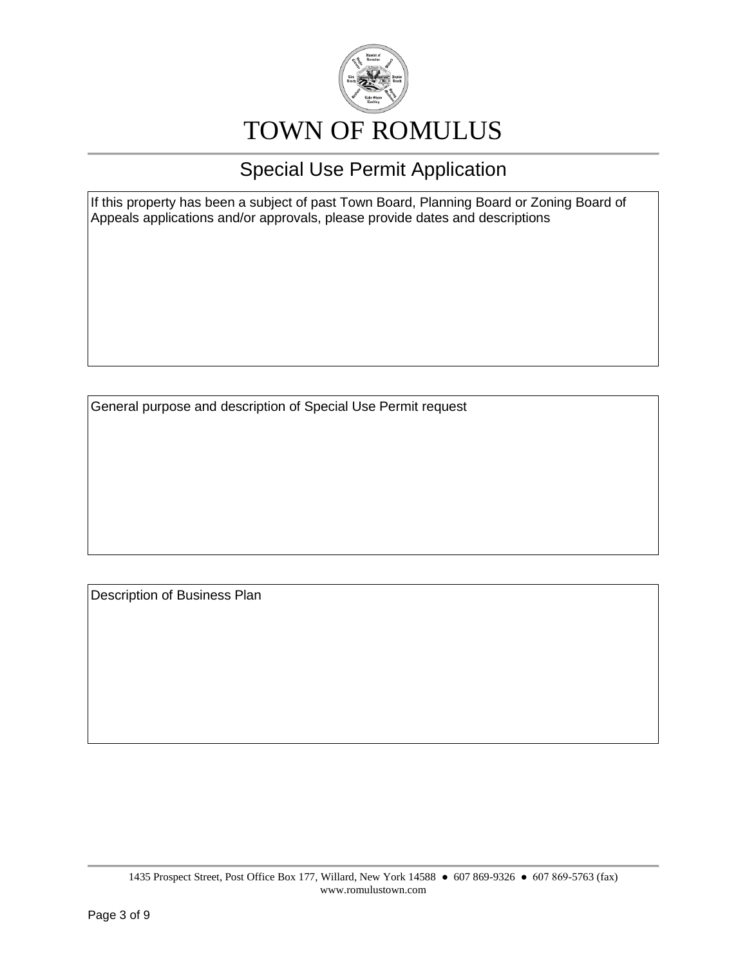

If this property has been a subject of past Town Board, Planning Board or Zoning Board of Appeals applications and/or approvals, please provide dates and descriptions

General purpose and description of Special Use Permit request

Description of Business Plan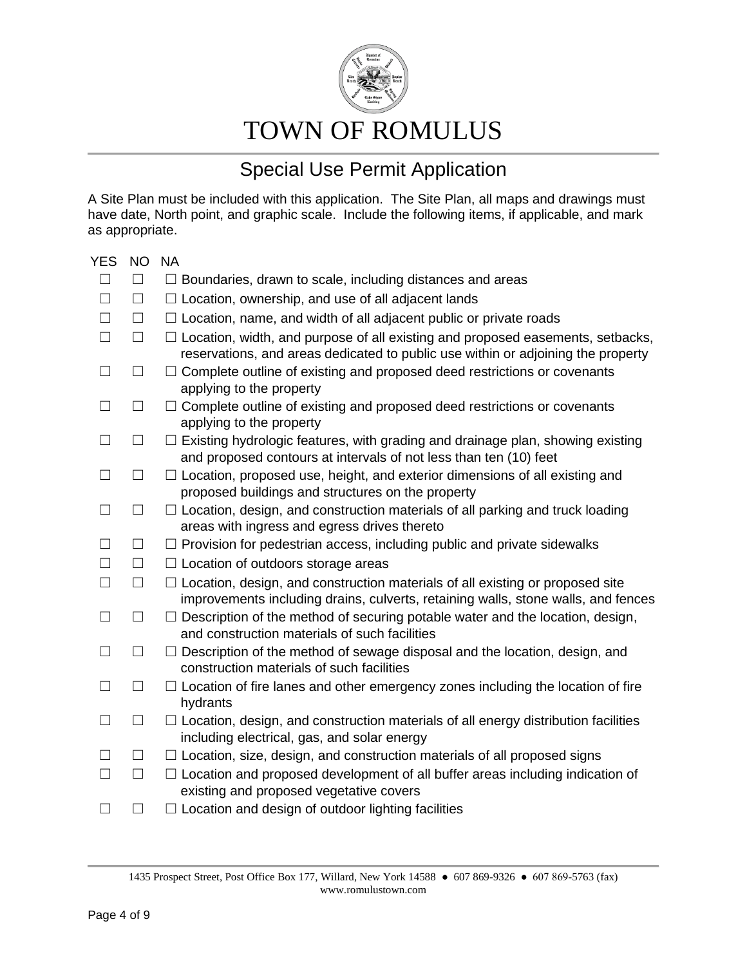

## TOWN OF ROMULUS

### Special Use Permit Application

A Site Plan must be included with this application. The Site Plan, all maps and drawings must have date, North point, and graphic scale. Include the following items, if applicable, and mark as appropriate.

| <b>YES</b> | <b>NO</b> | <b>NA</b>                                                                                                                                                                 |
|------------|-----------|---------------------------------------------------------------------------------------------------------------------------------------------------------------------------|
| $\Box$     | $\Box$    | $\Box$ Boundaries, drawn to scale, including distances and areas                                                                                                          |
| $\Box$     | $\Box$    | $\Box$ Location, ownership, and use of all adjacent lands                                                                                                                 |
| $\Box$     | $\Box$    | $\Box$ Location, name, and width of all adjacent public or private roads                                                                                                  |
| $\Box$     | $\Box$    | $\Box$ Location, width, and purpose of all existing and proposed easements, setbacks,<br>reservations, and areas dedicated to public use within or adjoining the property |
| $\Box$     | $\Box$    | $\Box$ Complete outline of existing and proposed deed restrictions or covenants<br>applying to the property                                                               |
| $\Box$     | $\Box$    | $\Box$ Complete outline of existing and proposed deed restrictions or covenants<br>applying to the property                                                               |
| $\Box$     | $\Box$    | $\Box$ Existing hydrologic features, with grading and drainage plan, showing existing<br>and proposed contours at intervals of not less than ten (10) feet                |
| $\Box$     | $\Box$    | $\Box$ Location, proposed use, height, and exterior dimensions of all existing and<br>proposed buildings and structures on the property                                   |
| П          | $\Box$    | $\Box$ Location, design, and construction materials of all parking and truck loading<br>areas with ingress and egress drives thereto                                      |
| П          | $\Box$    | $\Box$ Provision for pedestrian access, including public and private sidewalks                                                                                            |
| $\Box$     | $\Box$    | $\Box$ Location of outdoors storage areas                                                                                                                                 |
| $\Box$     | $\Box$    | $\Box$ Location, design, and construction materials of all existing or proposed site<br>improvements including drains, culverts, retaining walls, stone walls, and fences |
| $\Box$     | $\Box$    | $\Box$ Description of the method of securing potable water and the location, design,<br>and construction materials of such facilities                                     |
| $\Box$     | $\Box$    | $\Box$ Description of the method of sewage disposal and the location, design, and<br>construction materials of such facilities                                            |
| П          | $\Box$    | $\Box$ Location of fire lanes and other emergency zones including the location of fire<br>hydrants                                                                        |
| $\Box$     | $\Box$    | $\Box$ Location, design, and construction materials of all energy distribution facilities<br>including electrical, gas, and solar energy                                  |
| $\Box$     | $\Box$    | $\Box$ Location, size, design, and construction materials of all proposed signs                                                                                           |
| П          | $\Box$    | $\Box$ Location and proposed development of all buffer areas including indication of<br>existing and proposed vegetative covers                                           |
| П          | $\Box$    | $\Box$ Location and design of outdoor lighting facilities                                                                                                                 |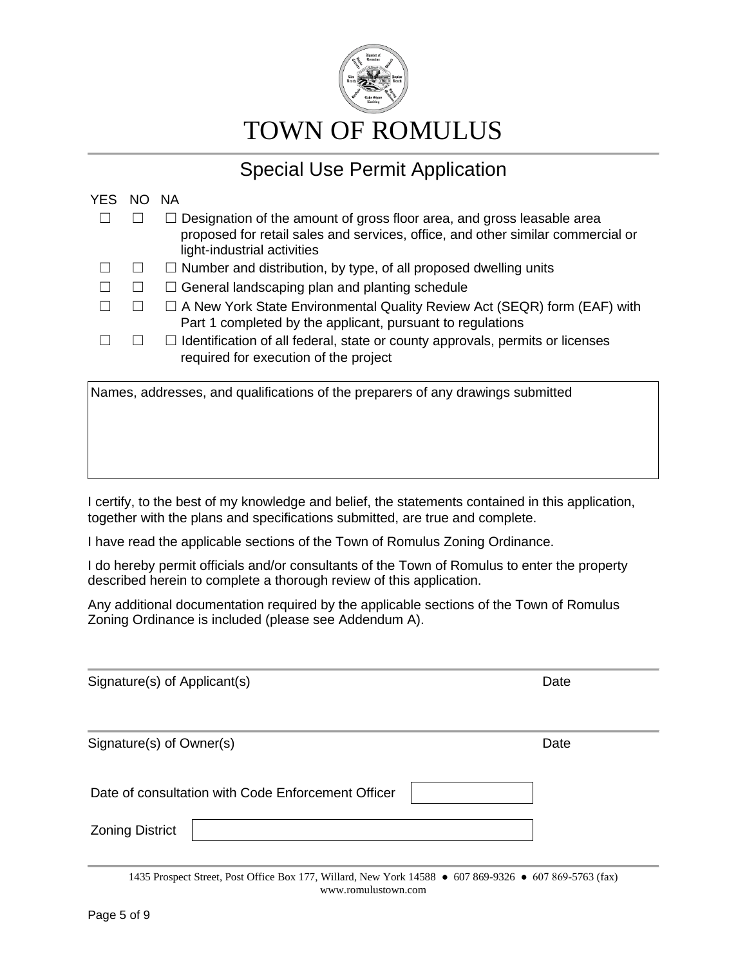

| YES.                                                                            | NO. | <b>NA</b>                                                                                                                                                                                       |
|---------------------------------------------------------------------------------|-----|-------------------------------------------------------------------------------------------------------------------------------------------------------------------------------------------------|
|                                                                                 |     | $\Box$ Designation of the amount of gross floor area, and gross leasable area<br>proposed for retail sales and services, office, and other similar commercial or<br>light-industrial activities |
|                                                                                 |     | $\Box$ Number and distribution, by type, of all proposed dwelling units                                                                                                                         |
|                                                                                 |     | $\Box$ General landscaping plan and planting schedule                                                                                                                                           |
|                                                                                 |     | $\Box$ A New York State Environmental Quality Review Act (SEQR) form (EAF) with<br>Part 1 completed by the applicant, pursuant to regulations                                                   |
|                                                                                 |     | $\Box$ Identification of all federal, state or county approvals, permits or licenses<br>required for execution of the project                                                                   |
| Names, addresses, and qualifications of the preparers of any drawings submitted |     |                                                                                                                                                                                                 |

I certify, to the best of my knowledge and belief, the statements contained in this application, together with the plans and specifications submitted, are true and complete.

I have read the applicable sections of the Town of Romulus Zoning Ordinance.

I do hereby permit officials and/or consultants of the Town of Romulus to enter the property described herein to complete a thorough review of this application.

Any additional documentation required by the applicable sections of the Town of Romulus Zoning Ordinance is included (please see Addendum A).

| Signature(s) of Applicant(s)                       | Date |
|----------------------------------------------------|------|
| Signature(s) of Owner(s)                           | Date |
| Date of consultation with Code Enforcement Officer |      |
| <b>Zoning District</b>                             |      |

1435 Prospect Street, Post Office Box 177, Willard, New York 14588 ● 607 869-9326 ● 607 869-5763 (fax) www.romulustown.com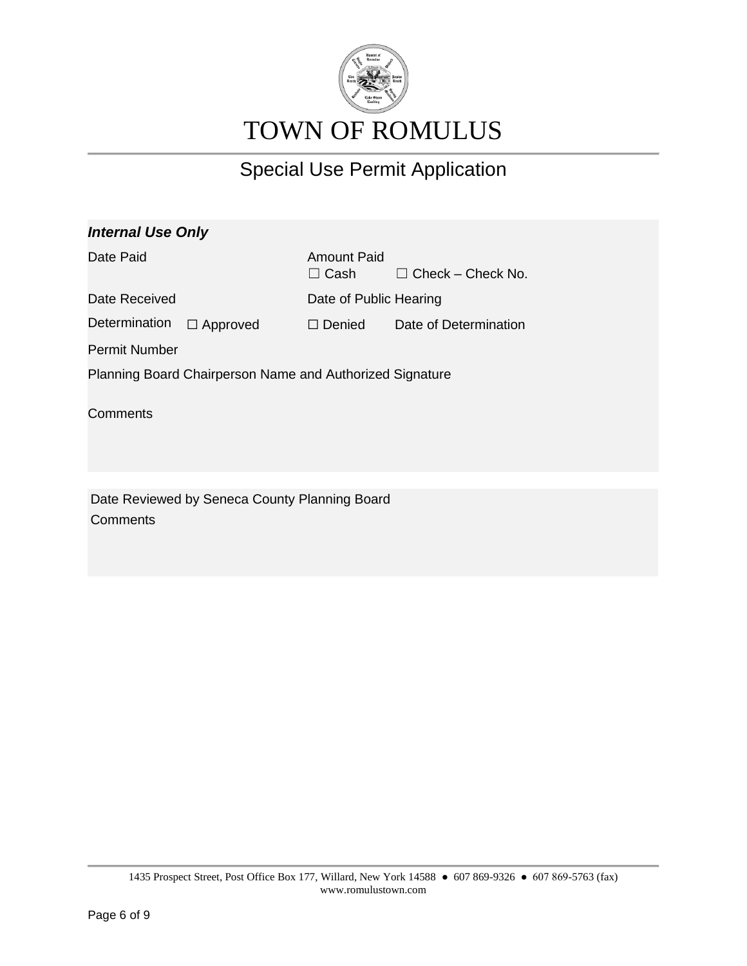

| <b>Internal Use Only</b>                                 |                 |                                   |                          |
|----------------------------------------------------------|-----------------|-----------------------------------|--------------------------|
| Date Paid                                                |                 | <b>Amount Paid</b><br>$\Box$ Cash | $\Box$ Check – Check No. |
| Date Received                                            |                 | Date of Public Hearing            |                          |
| Determination                                            | $\Box$ Approved | $\Box$ Denied                     | Date of Determination    |
| <b>Permit Number</b>                                     |                 |                                   |                          |
| Planning Board Chairperson Name and Authorized Signature |                 |                                   |                          |
| Comments                                                 |                 |                                   |                          |
|                                                          |                 |                                   |                          |
|                                                          |                 |                                   |                          |
|                                                          |                 |                                   |                          |

Date Reviewed by Seneca County Planning Board **Comments**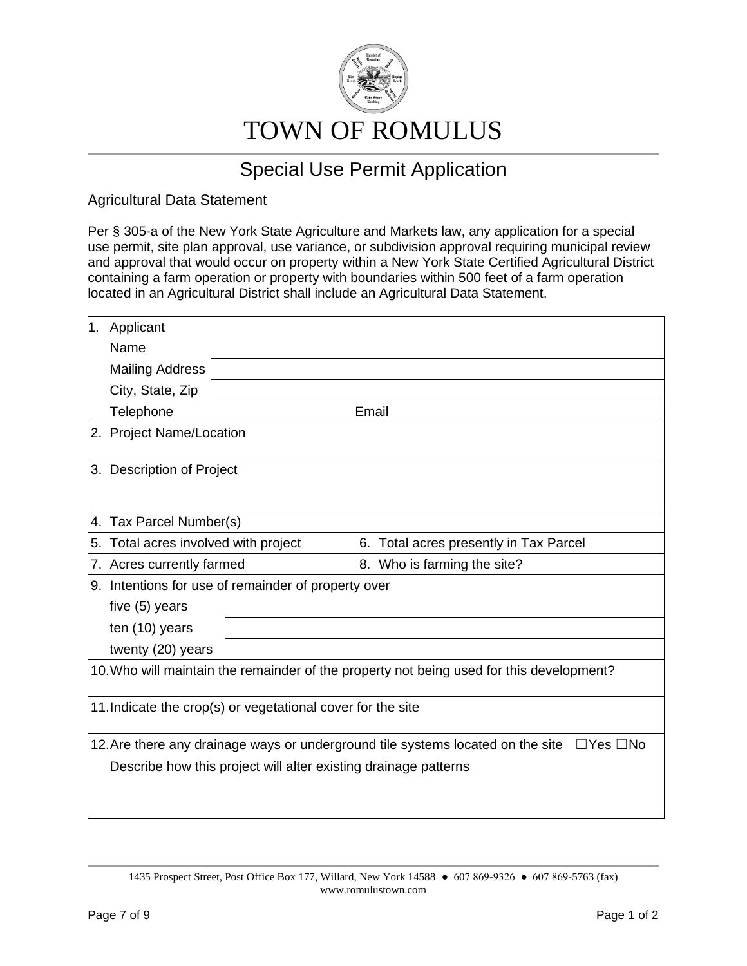

Agricultural Data Statement

Per § 305-a of the New York State Agriculture and Markets law, any application for a special use permit, site plan approval, use variance, or subdivision approval requiring municipal review and approval that would occur on property within a New York State Certified Agricultural District containing a farm operation or property with boundaries within 500 feet of a farm operation located in an Agricultural District shall include an Agricultural Data Statement.

| 1. | Applicant                                                                                |                             |  |  |  |
|----|------------------------------------------------------------------------------------------|-----------------------------|--|--|--|
|    | Name                                                                                     |                             |  |  |  |
|    | <b>Mailing Address</b>                                                                   |                             |  |  |  |
|    | City, State, Zip                                                                         |                             |  |  |  |
|    | Telephone                                                                                | Email                       |  |  |  |
|    | 2. Project Name/Location                                                                 |                             |  |  |  |
|    | 3. Description of Project                                                                |                             |  |  |  |
|    | 4. Tax Parcel Number(s)                                                                  |                             |  |  |  |
|    | 5. Total acres involved with project<br>6. Total acres presently in Tax Parcel           |                             |  |  |  |
|    | 7. Acres currently farmed                                                                | 8. Who is farming the site? |  |  |  |
|    | 9. Intentions for use of remainder of property over                                      |                             |  |  |  |
|    | five (5) years                                                                           |                             |  |  |  |
|    | ten (10) years                                                                           |                             |  |  |  |
|    | twenty (20) years                                                                        |                             |  |  |  |
|    | 10. Who will maintain the remainder of the property not being used for this development? |                             |  |  |  |
|    | 11. Indicate the crop(s) or vegetational cover for the site                              |                             |  |  |  |
|    | 12. Are there any drainage ways or underground tile systems located on the site          | $\Box$ Yes $\Box$ No        |  |  |  |
|    | Describe how this project will alter existing drainage patterns                          |                             |  |  |  |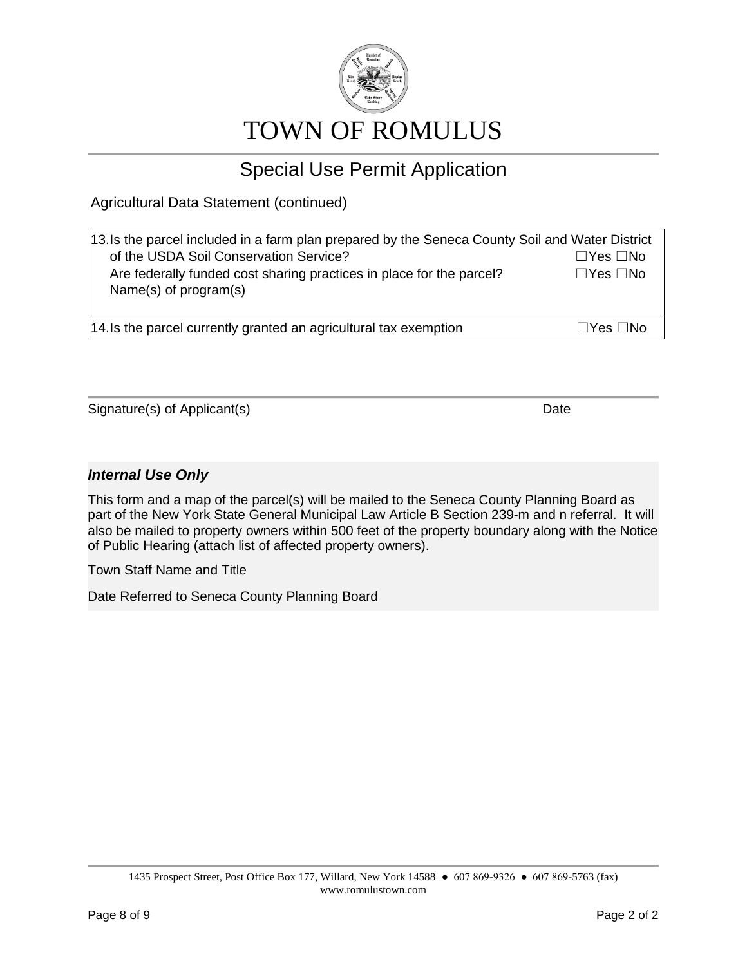

Agricultural Data Statement (continued)

| 13. Is the parcel included in a farm plan prepared by the Seneca County Soil and Water District<br>of the USDA Soil Conservation Service?<br>Are federally funded cost sharing practices in place for the parcel?<br>Name(s) of $program(s)$ | $\Box$ Yes $\Box$ No<br>$\Box$ Yes $\Box$ No |
|----------------------------------------------------------------------------------------------------------------------------------------------------------------------------------------------------------------------------------------------|----------------------------------------------|
| 14. Is the parcel currently granted an agricultural tax exemption                                                                                                                                                                            | $\Box Y$ es $\Box$ No                        |

Signature(s) of Applicant(s) Date Date Date Date

#### *Internal Use Only*

This form and a map of the parcel(s) will be mailed to the Seneca County Planning Board as part of the New York State General Municipal Law Article B Section 239-m and n referral. It will also be mailed to property owners within 500 feet of the property boundary along with the Notice of Public Hearing (attach list of affected property owners).

Town Staff Name and Title

Date Referred to Seneca County Planning Board